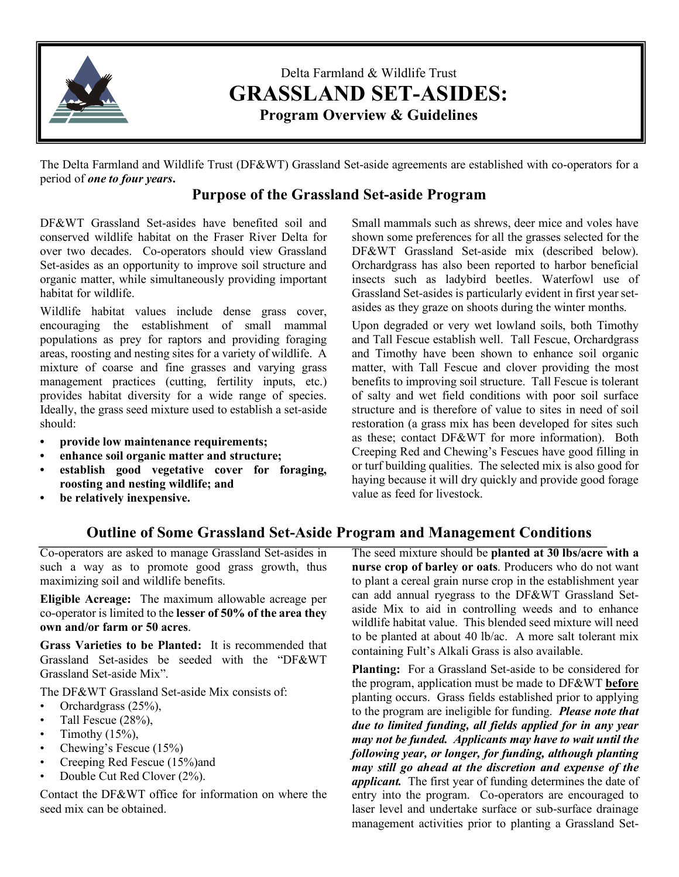

## Delta Farmland & Wildlife Trust **GRASSLAND SET-ASIDES: Program Overview & Guidelines**

The Delta Farmland and Wildlife Trust (DF&WT) Grassland Set-aside agreements are established with co-operators for a period of *one to four years***.**

## **Purpose of the Grassland Set-aside Program**

DF&WT Grassland Set-asides have benefited soil and conserved wildlife habitat on the Fraser River Delta for over two decades. Co-operators should view Grassland Set-asides as an opportunity to improve soil structure and organic matter, while simultaneously providing important habitat for wildlife.

Wildlife habitat values include dense grass cover, encouraging the establishment of small mammal populations as prey for raptors and providing foraging areas, roosting and nesting sites for a variety of wildlife. A mixture of coarse and fine grasses and varying grass management practices (cutting, fertility inputs, etc.) provides habitat diversity for a wide range of species. Ideally, the grass seed mixture used to establish a set-aside should:

- **• provide low maintenance requirements;**
- **• enhance soil organic matter and structure;**
- **• establish good vegetative cover for foraging, roosting and nesting wildlife; and**
- **• be relatively inexpensive.**

Small mammals such as shrews, deer mice and voles have shown some preferences for all the grasses selected for the DF&WT Grassland Set-aside mix (described below). Orchardgrass has also been reported to harbor beneficial insects such as ladybird beetles. Waterfowl use of Grassland Set-asides is particularly evident in first year setasides as they graze on shoots during the winter months.

Upon degraded or very wet lowland soils, both Timothy and Tall Fescue establish well. Tall Fescue, Orchardgrass and Timothy have been shown to enhance soil organic matter, with Tall Fescue and clover providing the most benefits to improving soil structure. Tall Fescue is tolerant of salty and wet field conditions with poor soil surface structure and is therefore of value to sites in need of soil restoration (a grass mix has been developed for sites such as these; contact DF&WT for more information). Both Creeping Red and Chewing's Fescues have good filling in or turf building qualities. The selected mix is also good for haying because it will dry quickly and provide good forage value as feed for livestock.

## **Outline of Some Grassland Set-Aside Program and Management Conditions**

Co-operators are asked to manage Grassland Set-asides in such a way as to promote good grass growth, thus maximizing soil and wildlife benefits.

**Eligible Acreage:** The maximum allowable acreage per co-operator is limited to the **lesser of 50% of the area they own and/or farm or 50 acres**.

**Grass Varieties to be Planted:** It is recommended that Grassland Set-asides be seeded with the "DF&WT Grassland Set-aside Mix".

The DF&WT Grassland Set-aside Mix consists of:

- Orchardgrass (25%),
- Tall Fescue  $(28\%)$ ,
- Timothy  $(15\%)$ ,
- Chewing's Fescue (15%)
- Creeping Red Fescue (15%)and
- Double Cut Red Clover (2%).

Contact the DF&WT office for information on where the seed mix can be obtained.

The seed mixture should be **planted at 30 lbs/acre with a nurse crop of barley or oats**. Producers who do not want to plant a cereal grain nurse crop in the establishment year can add annual ryegrass to the DF&WT Grassland Setaside Mix to aid in controlling weeds and to enhance wildlife habitat value. This blended seed mixture will need to be planted at about 40 lb/ac. A more salt tolerant mix containing Fult's Alkali Grass is also available.

**Planting:** For a Grassland Set-aside to be considered for the program, application must be made to DF&WT **before** planting occurs. Grass fields established prior to applying to the program are ineligible for funding. *Please note that due to limited funding, all fields applied for in any year may not be funded. Applicants may have to wait until the following year, or longer, for funding, although planting may still go ahead at the discretion and expense of the applicant.* The first year of funding determines the date of entry into the program. Co-operators are encouraged to laser level and undertake surface or sub-surface drainage management activities prior to planting a Grassland Set